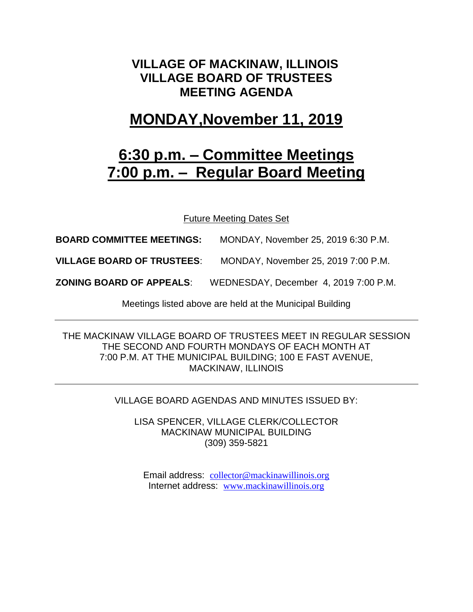### **VILLAGE OF MACKINAW, ILLINOIS VILLAGE BOARD OF TRUSTEES MEETING AGENDA**

## **MONDAY,November 11, 2019**

# **6:30 p.m. – Committee Meetings 7:00 p.m. – Regular Board Meeting**

Future Meeting Dates Set

**BOARD COMMITTEE MEETINGS:** MONDAY, November 25, 2019 6:30 P.M.

**VILLAGE BOARD OF TRUSTEES**: MONDAY, November 25, 2019 7:00 P.M.

**ZONING BOARD OF APPEALS**: WEDNESDAY, December 4, 2019 7:00 P.M.

Meetings listed above are held at the Municipal Building

THE MACKINAW VILLAGE BOARD OF TRUSTEES MEET IN REGULAR SESSION THE SECOND AND FOURTH MONDAYS OF EACH MONTH AT 7:00 P.M. AT THE MUNICIPAL BUILDING; 100 E FAST AVENUE, MACKINAW, ILLINOIS

VILLAGE BOARD AGENDAS AND MINUTES ISSUED BY:

LISA SPENCER, VILLAGE CLERK/COLLECTOR MACKINAW MUNICIPAL BUILDING (309) 359-5821

Email address: [collector@mackinawillinois.org](mailto:collector@mackinawillinois.org) Internet address: [www.mackinawillinois.org](http://www.mackinawillinois.org/)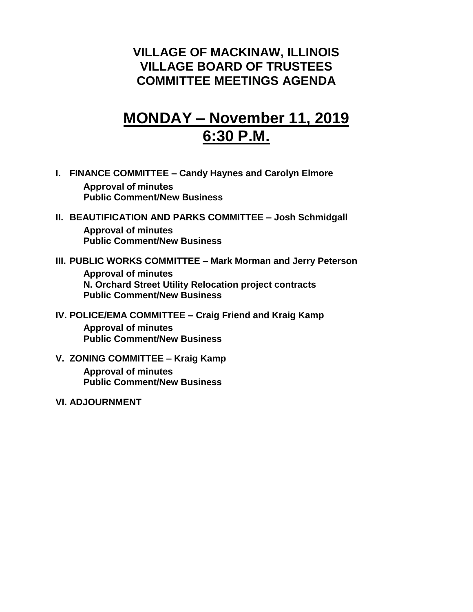### **VILLAGE OF MACKINAW, ILLINOIS VILLAGE BOARD OF TRUSTEES COMMITTEE MEETINGS AGENDA**

# **MONDAY – November 11, 2019 6:30 P.M.**

- **I. FINANCE COMMITTEE – Candy Haynes and Carolyn Elmore Approval of minutes Public Comment/New Business**
- **II. BEAUTIFICATION AND PARKS COMMITTEE – Josh Schmidgall Approval of minutes Public Comment/New Business**
- **III. PUBLIC WORKS COMMITTEE – Mark Morman and Jerry Peterson Approval of minutes N. Orchard Street Utility Relocation project contracts Public Comment/New Business**
- **IV. POLICE/EMA COMMITTEE – Craig Friend and Kraig Kamp**

**Approval of minutes Public Comment/New Business**

**V. ZONING COMMITTEE – Kraig Kamp**

**Approval of minutes Public Comment/New Business**

**VI. ADJOURNMENT**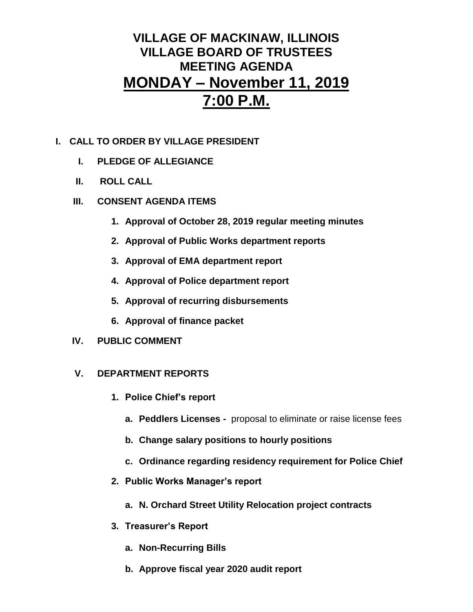## **VILLAGE OF MACKINAW, ILLINOIS VILLAGE BOARD OF TRUSTEES MEETING AGENDA MONDAY – November 11, 2019 7:00 P.M.**

### **I. CALL TO ORDER BY VILLAGE PRESIDENT**

- **I. PLEDGE OF ALLEGIANCE**
- **II. ROLL CALL**
- **III. CONSENT AGENDA ITEMS** 
	- **1. Approval of October 28, 2019 regular meeting minutes**
	- **2. Approval of Public Works department reports**
	- **3. Approval of EMA department report**
	- **4. Approval of Police department report**
	- **5. Approval of recurring disbursements**
	- **6. Approval of finance packet**
- **IV. PUBLIC COMMENT**

#### **V. DEPARTMENT REPORTS**

- **1. Police Chief's report**
	- **a. Peddlers Licenses -** proposal to eliminate or raise license fees
	- **b. Change salary positions to hourly positions**
	- **c. Ordinance regarding residency requirement for Police Chief**
- **2. Public Works Manager's report**
	- **a. N. Orchard Street Utility Relocation project contracts**
- **3. Treasurer's Report** 
	- **a. Non-Recurring Bills**
	- **b. Approve fiscal year 2020 audit report**